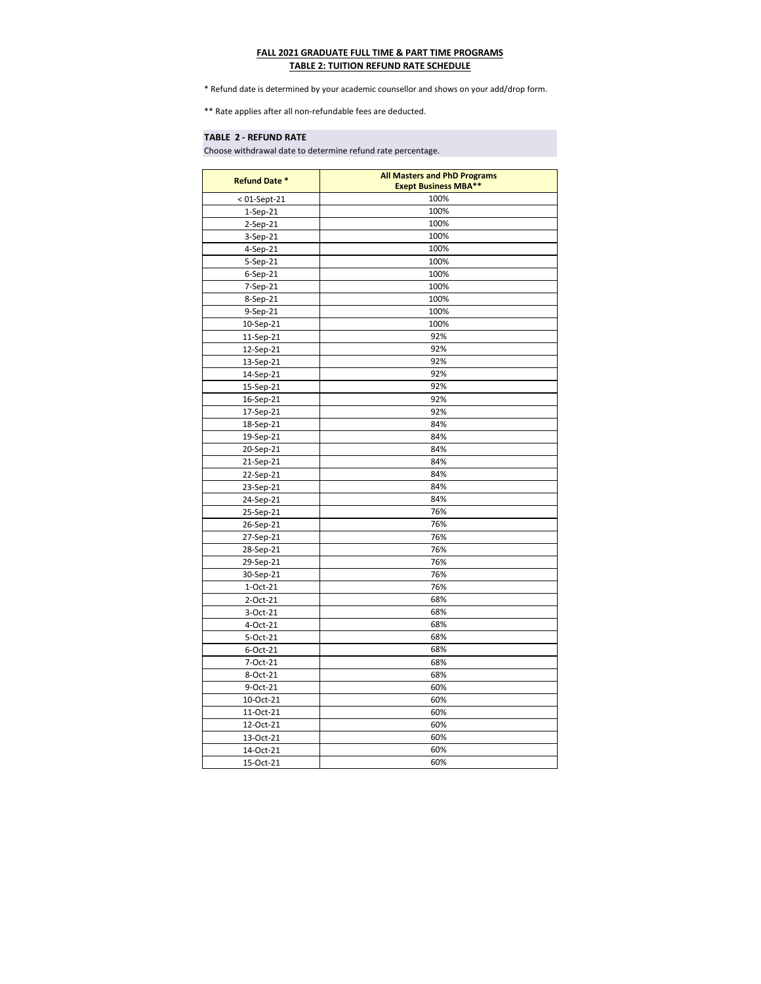| <b>Refund Date *</b> | <b>All Masters and PhD Programs</b> |
|----------------------|-------------------------------------|
|                      | <b>Exept Business MBA**</b>         |
| $< 01$ -Sept-21      | 100%                                |
| $1-Sep-21$           | 100%                                |
| $2-Sep-21$           | 100%                                |
| 3-Sep-21             | 100%                                |
| 4-Sep-21             | 100%                                |
| 5-Sep-21             | 100%                                |
| 6-Sep-21             | 100%                                |
| 7-Sep-21             | 100%                                |
| 8-Sep-21             | 100%                                |
| 9-Sep-21             | 100%                                |
| 10-Sep-21            | 100%                                |
| 11-Sep-21            | 92%                                 |
| 12-Sep-21            | 92%                                 |
| 13-Sep-21            | 92%                                 |
| 14-Sep-21            | 92%                                 |
| 15-Sep-21            | 92%                                 |
| 16-Sep-21            | 92%                                 |
| 17-Sep-21            | 92%                                 |
| 18-Sep-21            | 84%                                 |
| 19-Sep-21            | 84%                                 |
| 20-Sep-21            | 84%                                 |
| 21-Sep-21            | 84%                                 |
| 22-Sep-21            | 84%                                 |
| 23-Sep-21            | 84%                                 |
| 24-Sep-21            | 84%                                 |
| 25-Sep-21            | 76%                                 |
| 26-Sep-21            | 76%                                 |
| 27-Sep-21            | 76%                                 |
| 28-Sep-21            | 76%                                 |
| 29-Sep-21            | 76%                                 |
| 30-Sep-21            | 76%                                 |
| $1-Oct-21$           | 76%                                 |
| 2-Oct-21             | 68%                                 |
| 3-Oct-21             | 68%                                 |
| 4-Oct-21             | 68%                                 |
| 5-Oct-21             | 68%                                 |
| 6-Oct-21             | 68%                                 |
| 7-Oct-21             | 68%                                 |
| 8-Oct-21             | 68%                                 |
| 9-Oct-21             | 60%                                 |
| 10-Oct-21            | 60%                                 |
| 11-Oct-21            | 60%                                 |
| 12-Oct-21            | 60%                                 |
| 13-Oct-21            | 60%                                 |
| 14-Oct-21            | 60%                                 |
| 15-Oct-21            | 60%                                 |

## **TABLE 2 - REFUND RATE**

## **FALL 2021 GRADUATE FULL TIME & PART TIME PROGRAMS TABLE 2: TUITION REFUND RATE SCHEDULE**

\* Refund date is determined by your academic counsellor and shows on your add/drop form.

\*\* Rate applies after all non-refundable fees are deducted.

Choose withdrawal date to determine refund rate percentage.